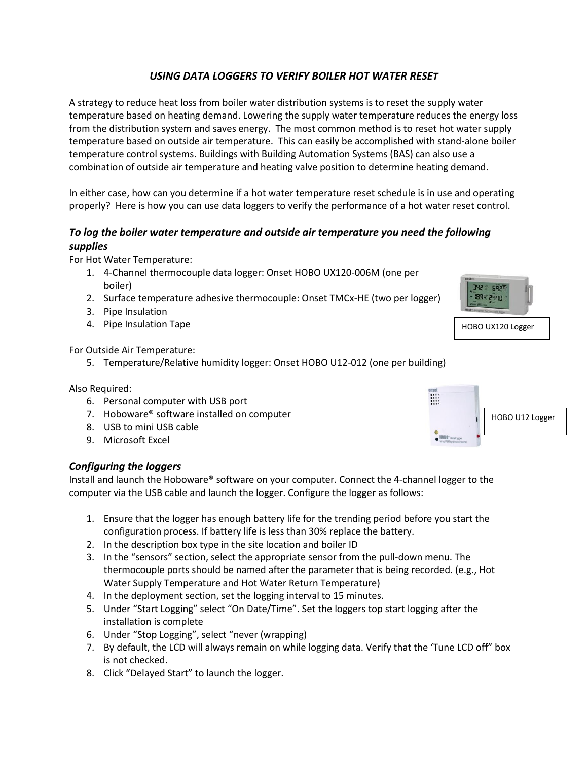# *USING DATA LOGGERS TO VERIFY BOILER HOT WATER RESET*

A strategy to reduce heat loss from boiler water distribution systems is to reset the supply water temperature based on heating demand. Lowering the supply water temperature reduces the energy loss from the distribution system and saves energy. The most common method is to reset hot water supply temperature based on outside air temperature. This can easily be accomplished with stand-alone boiler temperature control systems. Buildings with Building Automation Systems (BAS) can also use a combination of outside air temperature and heating valve position to determine heating demand.

In either case, how can you determine if a hot water temperature reset schedule is in use and operating properly? Here is how you can use data loggers to verify the performance of a hot water reset control.

# *To log the boiler water temperature and outside air temperature you need the following supplies*

For Hot Water Temperature:

- 1. 4-Channel thermocouple data logger: Onset HOBO UX120-006M (one per boiler)
- 2. Surface temperature adhesive thermocouple: Onset TMCx-HE (two per logger)
- 3. Pipe Insulation
- 4. Pipe Insulation Tape

For Outside Air Temperature:

5. Temperature/Relative humidity logger: Onset HOBO U12-012 (one per building)

Also Required:

- 6. Personal computer with USB port
- 7. Hoboware® software installed on computer
- 8. USB to mini USB cable
- 9. Microsoft Excel

## *Configuring the loggers*

Install and launch the Hoboware® software on your computer. Connect the 4-channel logger to the computer via the USB cable and launch the logger. Configure the logger as follows:

- 1. Ensure that the logger has enough battery life for the trending period before you start the configuration process. If battery life is less than 30% replace the battery.
- 2. In the description box type in the site location and boiler ID
- 3. In the "sensors" section, select the appropriate sensor from the pull-down menu. The thermocouple ports should be named after the parameter that is being recorded. (e.g., Hot Water Supply Temperature and Hot Water Return Temperature)
- 4. In the deployment section, set the logging interval to 15 minutes.
- 5. Under "Start Logging" select "On Date/Time". Set the loggers top start logging after the installation is complete
- 6. Under "Stop Logging", select "never (wrapping)
- 7. By default, the LCD will always remain on while logging data. Verify that the 'Tune LCD off" box is not checked.
- 8. Click "Delayed Start" to launch the logger.



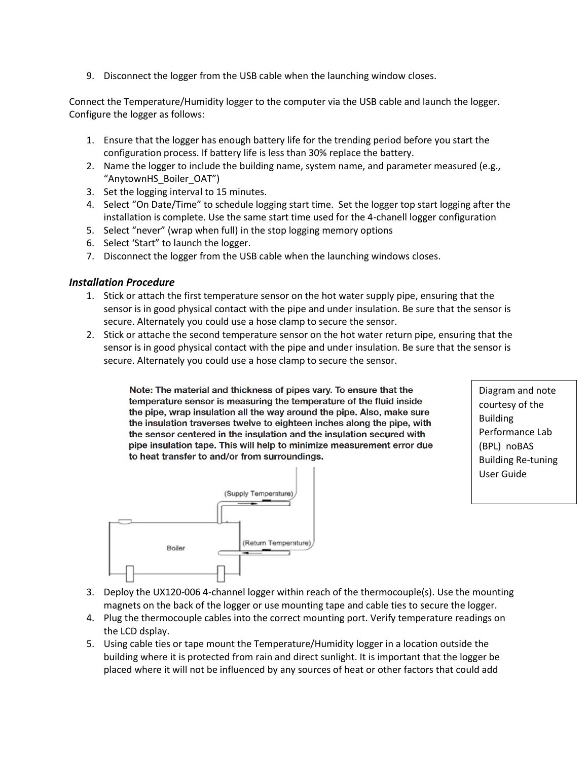9. Disconnect the logger from the USB cable when the launching window closes.

Connect the Temperature/Humidity logger to the computer via the USB cable and launch the logger. Configure the logger as follows:

- 1. Ensure that the logger has enough battery life for the trending period before you start the configuration process. If battery life is less than 30% replace the battery.
- 2. Name the logger to include the building name, system name, and parameter measured (e.g., "AnytownHS\_Boiler\_OAT")
- 3. Set the logging interval to 15 minutes.
- 4. Select "On Date/Time" to schedule logging start time. Set the logger top start logging after the installation is complete. Use the same start time used for the 4-chanell logger configuration
- 5. Select "never" (wrap when full) in the stop logging memory options
- 6. Select 'Start" to launch the logger.
- 7. Disconnect the logger from the USB cable when the launching windows closes.

#### *Installation Procedure*

- 1. Stick or attach the first temperature sensor on the hot water supply pipe, ensuring that the sensor is in good physical contact with the pipe and under insulation. Be sure that the sensor is secure. Alternately you could use a hose clamp to secure the sensor.
- 2. Stick or attache the second temperature sensor on the hot water return pipe, ensuring that the sensor is in good physical contact with the pipe and under insulation. Be sure that the sensor is secure. Alternately you could use a hose clamp to secure the sensor.

Note: The material and thickness of pipes vary. To ensure that the temperature sensor is measuring the temperature of the fluid inside the pipe, wrap insulation all the way around the pipe. Also, make sure the insulation traverses twelve to eighteen inches along the pipe, with the sensor centered in the insulation and the insulation secured with pipe insulation tape. This will help to minimize measurement error due to heat transfer to and/or from surroundings.

Diagram and note courtesy of the Building Performance Lab (BPL) noBAS Building Re-tuning User Guide



- 3. Deploy the UX120-006 4-channel logger within reach of the thermocouple(s). Use the mounting magnets on the back of the logger or use mounting tape and cable ties to secure the logger.
- 4. Plug the thermocouple cables into the correct mounting port. Verify temperature readings on the LCD dsplay.
- 5. Using cable ties or tape mount the Temperature/Humidity logger in a location outside the building where it is protected from rain and direct sunlight. It is important that the logger be placed where it will not be influenced by any sources of heat or other factors that could add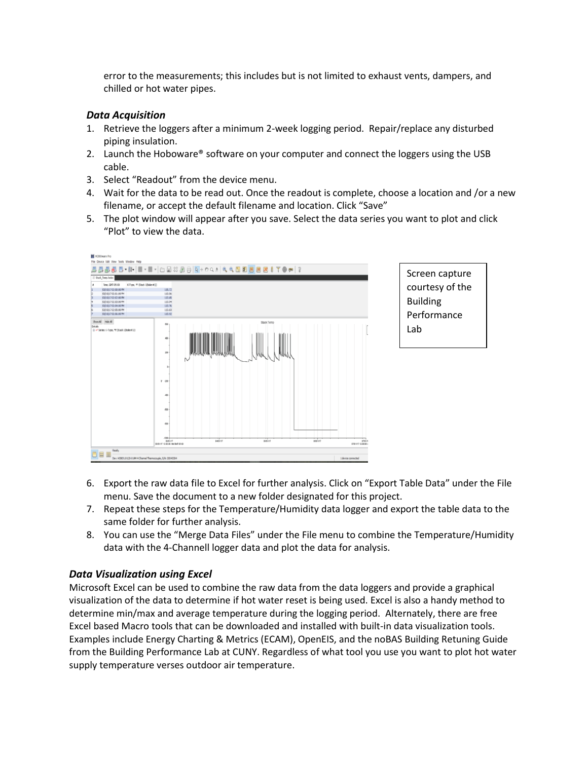error to the measurements; this includes but is not limited to exhaust vents, dampers, and chilled or hot water pipes.

#### *Data Acquisition*

- 1. Retrieve the loggers after a minimum 2-week logging period. Repair/replace any disturbed piping insulation.
- 2. Launch the Hoboware® software on your computer and connect the loggers using the USB cable.
- 3. Select "Readout" from the device menu.
- 4. Wait for the data to be read out. Once the readout is complete, choose a location and /or a new filename, or accept the default filename and location. Click "Save"
- 5. The plot window will appear after you save. Select the data series you want to plot and click "Plot" to view the data.





- 6. Export the raw data file to Excel for further analysis. Click on "Export Table Data" under the File menu. Save the document to a new folder designated for this project.
- 7. Repeat these steps for the Temperature/Humidity data logger and export the table data to the same folder for further analysis.
- 8. You can use the "Merge Data Files" under the File menu to combine the Temperature/Humidity data with the 4-Channell logger data and plot the data for analysis.

## *Data Visualization using Excel*

Microsoft Excel can be used to combine the raw data from the data loggers and provide a graphical visualization of the data to determine if hot water reset is being used. Excel is also a handy method to determine min/max and average temperature during the logging period. Alternately, there are free Excel based Macro tools that can be downloaded and installed with built-in data visualization tools. Examples include Energy Charting & Metrics (ECAM), OpenEIS, and the noBAS Building Retuning Guide from the Building Performance Lab at CUNY. Regardless of what tool you use you want to plot hot water supply temperature verses outdoor air temperature.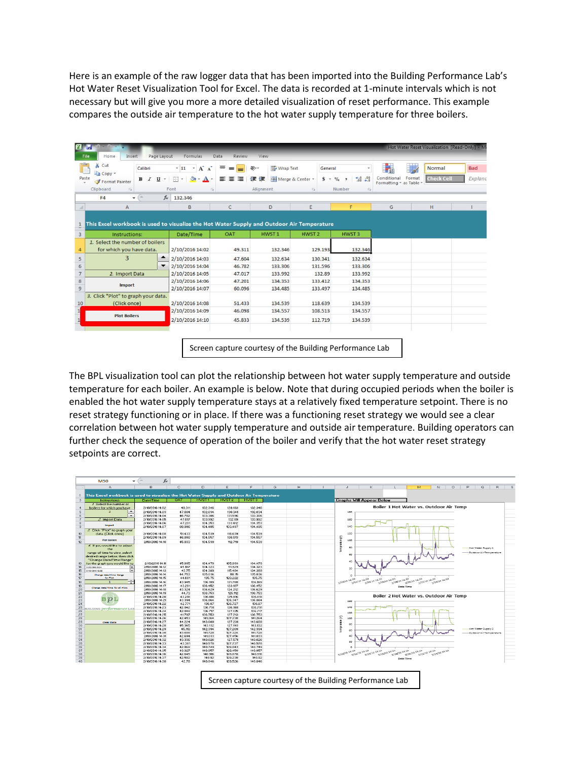Here is an example of the raw logger data that has been imported into the Building Performance Lab's Hot Water Reset Visualization Tool for Excel. The data is recorded at 1-minute intervals which is not necessary but will give you more a more detailed visualization of reset performance. This example compares the outside air temperature to the hot water supply temperature for three boilers.

| & Cut<br>Copy * | Calibri                               |                          | $A^A$<br>$-11$<br>$\mathbf{v}$     | ᆖ<br>$=$<br>$=$  | Wrap Text<br>$\mathcal{D}_{\mathcal{F}}$ | General            |                                                  | 轟                                      | U      | Normal            | <b>Bad</b> |
|-----------------|---------------------------------------|--------------------------|------------------------------------|------------------|------------------------------------------|--------------------|--------------------------------------------------|----------------------------------------|--------|-------------------|------------|
| Paste           | в<br>$\overline{I}$<br>Format Painter | U<br>$\star$             | 里<br>$A$ .                         | 드<br>潭           | Fas Merge & Center *<br>建建               | $s -$              | $+0.00 + 0.00 + 0.00$<br>$\frac{0}{\alpha}$<br>٠ | Conditional<br>Formatting * as Table * | Format | <b>Check Cell</b> | Expland    |
| Clipboard       | $\sqrt{2}$                            |                          | Font<br><b>Gir</b>                 |                  | Alignment                                | $\sqrt{2}$         | Number<br>$\sqrt{2}$                             |                                        |        |                   |            |
| F <sub>4</sub>  | <b>Sec</b><br>٠                       |                          | $f_x$ 132.346                      |                  |                                          |                    |                                                  |                                        |        |                   |            |
| A               |                                       | B                        | C                                  | D                | E                                        | F                  | G                                                |                                        | H      |                   |            |
|                 |                                       |                          |                                    |                  |                                          |                    |                                                  |                                        |        |                   |            |
|                 | 1. Select the number of boilers       |                          |                                    |                  |                                          |                    |                                                  |                                        |        |                   |            |
|                 |                                       |                          |                                    |                  |                                          |                    |                                                  |                                        |        |                   |            |
|                 | for which you have data.              |                          | 2/10/2016 14:02                    | 49.311           | 132.346                                  | 129.193            | 132.346                                          |                                        |        |                   |            |
|                 | 3                                     | ▴                        | 2/10/2016 14:03                    | 47.604           | 132.634                                  | 130.341            | 132.634                                          |                                        |        |                   |            |
|                 |                                       | $\overline{\phantom{a}}$ | 2/10/2016 14:04                    | 46.782           | 133,306                                  | 131.596            | 133,306                                          |                                        |        |                   |            |
|                 | 2. Import Data                        |                          | 2/10/2016 14:05                    | 47.017           | 133.992                                  | 132.89<br>133,412  | 133.992<br>134,353                               |                                        |        |                   |            |
|                 | Import                                |                          | 2/10/2016 14:06<br>2/10/2016 14:07 | 47.201<br>60.096 | 134.353<br>134,485                       | 133,497            | 134,485                                          |                                        |        |                   |            |
|                 | 3. Click "Plot" to graph your data.   |                          |                                    |                  |                                          |                    |                                                  |                                        |        |                   |            |
|                 | (Click once)                          |                          | 2/10/2016 14:08<br>2/10/2016 14:09 | 51.433<br>46.098 | 134.539<br>134.557                       | 118,639<br>108.513 | 134.539<br>134.557                               |                                        |        |                   |            |

Screen capture courtesy of the Building Performance Lab

The BPL visualization tool can plot the relationship between hot water supply temperature and outside temperature for each boiler. An example is below. Note that during occupied periods when the boiler is enabled the hot water supply temperature stays at a relatively fixed temperature setpoint. There is no reset strategy functioning or in place. If there was a functioning reset strategy we would see a clear correlation between hot water supply temperature and outside air temperature. Building operators can further check the sequence of operation of the boiler and verify that the hot water reset strategy setpoints are correct.

|          | A                                                                                         | $\overline{R}$                     | $\overline{c}$   | $\overline{p}$     | F                  | $\mathbf{r}$       | G | H | $\mathbf{J}$    | K                                                | T.                   | M                                      | N                                                           | $\circ$ | P<br>$\circ$                 | $\overline{B}$ |
|----------|-------------------------------------------------------------------------------------------|------------------------------------|------------------|--------------------|--------------------|--------------------|---|---|-----------------|--------------------------------------------------|----------------------|----------------------------------------|-------------------------------------------------------------|---------|------------------------------|----------------|
|          |                                                                                           |                                    |                  |                    |                    |                    |   |   |                 |                                                  |                      |                                        |                                                             |         |                              |                |
|          | This Excel workbook is used to visualize the Hot Water Supply and Outdoor Air Temperature |                                    |                  |                    |                    |                    |   |   |                 |                                                  |                      |                                        |                                                             |         |                              |                |
|          | Instructions:                                                                             | Date/Time                          | OAT              | HWST1              | HWST <sub>2</sub>  | HWST3              |   |   |                 | <b>Graphs Will Appear Below</b>                  |                      |                                        |                                                             |         |                              |                |
|          | / Select the number of                                                                    |                                    |                  |                    |                    |                    |   |   |                 |                                                  |                      |                                        |                                                             |         |                              |                |
|          | boilers for which you have                                                                | 2/10/2016 14:02                    | 49.311           | 132 346            | 129.193            | 132 346            |   |   |                 |                                                  |                      |                                        | Boiler 1 Hot Water vs. Outdoor Air Temp                     |         |                              |                |
|          | ÷                                                                                         | 2/10/2016 14:03                    | 47.604           | 132.634            | 130.341            | 132.634            |   |   | 180             |                                                  |                      |                                        |                                                             |         |                              |                |
|          |                                                                                           | 2/10/2016 14:04                    | 46.782           | 133.306            | 131.596            | 133.306            |   |   |                 |                                                  |                      |                                        |                                                             |         |                              |                |
|          | 2 Import Data                                                                             | 2/10/2016 14:05                    | 47.017           | 133.992            | 132.89             | 133,992            |   |   | 160             |                                                  |                      |                                        |                                                             |         |                              |                |
|          | <b>Import</b>                                                                             | 2/10/2016 14:06                    | 47.201           | 134.353            | 133,412            | 134.353            |   |   |                 |                                                  |                      |                                        |                                                             |         |                              |                |
|          |                                                                                           | 2/10/2016 14:07                    | 60.096           | 134.485            | 133.497            | 134.485            |   |   | 140             |                                                  |                      |                                        |                                                             |         |                              |                |
|          | .2 Click "Plot" to graph your                                                             |                                    |                  |                    |                    |                    |   |   |                 |                                                  |                      |                                        |                                                             |         |                              |                |
|          | data. (Click once)                                                                        | 2/10/2016 14:08                    | 51433            | 134.539            | 118,639            | 134.539            |   |   | 120             |                                                  |                      |                                        |                                                             |         |                              |                |
|          | <b>Plot Soilers</b>                                                                       | 2/10/2016 14:09                    | 46.098           | 134.557            | 108.513            | 134.557            |   |   |                 |                                                  |                      |                                        |                                                             |         |                              |                |
|          |                                                                                           | 2/10/2016 14:10                    | 45.833           | 134,539            | 112,719            | 134,539            |   |   |                 | ratum(f)<br>200                                  |                      |                                        |                                                             |         |                              |                |
|          | of If you would like to adjust                                                            |                                    |                  |                    |                    |                    |   |   | 묻<br><b>OC</b>  |                                                  |                      |                                        |                                                             |         |                              |                |
|          | the                                                                                       |                                    |                  |                    |                    |                    |   |   | Ξ               |                                                  |                      |                                        |                                                             |         | Hot Water Supply 1           |                |
|          | range of time to view, select                                                             |                                    |                  |                    |                    |                    |   |   | 60              |                                                  |                      |                                        |                                                             |         | Outdoor Air Temperature      |                |
|          | desired range below, then click                                                           |                                    |                  |                    |                    |                    |   |   |                 |                                                  |                      |                                        |                                                             |         |                              |                |
|          | "Change Date/Time Range"                                                                  |                                    |                  |                    |                    |                    |   |   | 40              |                                                  |                      |                                        |                                                             |         |                              |                |
|          | for the graph you would like to                                                           | 2/10/2016 14:11                    | 45.095           | 134.479            | 105,993            | 134.479            |   |   |                 |                                                  |                      |                                        |                                                             |         |                              |                |
|          | ☞<br>2/25/2010 9:51<br>╔                                                                  | 2/10/2016 14:12                    | 45.187           | 134.323            | 111.929            | 134.323            |   |   | 20              |                                                  |                      |                                        |                                                             |         |                              |                |
|          | 2/15/2016 12:52                                                                           | 2/10/2016 14:13                    | 43.75            | 134.389            | 115.484            | 134.389            |   |   |                 |                                                  |                      |                                        |                                                             |         |                              |                |
|          | Change Date/Time Nange<br><b>Savinted</b>                                                 | 2/10/2016 14:14                    | 44.753           | 135,036            | 118.15             | 135,036            |   |   | $\circ$         |                                                  |                      |                                        |                                                             |         |                              |                |
|          |                                                                                           | 2/10/2016 14:15                    | 44.681           | 135.75             | 120.222            | 135.75             |   |   | 2/303034.02     | 2 32 3634.02<br>$-2 V^{a} ^{36-3R/62}$           | <b>2/16/10 14:02</b> | <b>Alvelue</b> verda<br>2/20/30 54:02  | $A^{(0)}$<br>$2^{2120}$ $3^{4/02}$<br>$2^{3/00}$ $3^{6/02}$ |         |                              |                |
|          |                                                                                           | 2/10/2016 14:16                    | 43.945           | 136, 189           | 121.788            | 136, 189           |   |   |                 |                                                  |                      |                                        |                                                             |         |                              |                |
|          | Change Data/Time for all Flots                                                            | 2/10/2016 14:17                    | 43,281           | 136.452            | 123,107            | 136.452            |   |   |                 |                                                  |                      | Date Time                              |                                                             |         |                              |                |
|          |                                                                                           | 2/10/2016 14:18                    | 43.324           | 136.629            | 124.212            | 136.629            |   |   |                 |                                                  |                      |                                        |                                                             |         |                              |                |
|          |                                                                                           | 2/10/2016 14:19                    | 44.73            | 136,753            | 125.112            | 136.753            |   |   |                 |                                                  |                      |                                        | Boiler 2 Hot Water vs. Outdoor Air Temp                     |         |                              |                |
|          | <b>B</b> DI                                                                               | 2/10/2016 14:20<br>2/10/2016 14:21 | 43.218<br>43.394 | 136.818<br>136.864 | 125.816<br>126.347 | 136.818<br>136.864 |   |   |                 |                                                  |                      |                                        |                                                             |         |                              |                |
|          |                                                                                           | 2/10/2016 14:22                    | 42.771           | 136.87             | 126,727            | 136.87             |   |   | 280             |                                                  |                      |                                        |                                                             |         |                              |                |
|          |                                                                                           | 2/10/2016 14:23                    | 42.042           | 136,791            | 126,981            | 136,791            |   |   | 140             |                                                  |                      |                                        |                                                             |         |                              |                |
| 25<br>26 | <b>SUILDING</b> performance LAB                                                           | 2/10/2016 14:24                    | 42.048           | 136.717            | 127.135            | 136,717            |   |   |                 |                                                  |                      |                                        |                                                             |         |                              |                |
|          |                                                                                           | 2/10/2016 14:25                    | 41.797           | 136.753            | 127.213            | 136.753            |   |   | 120             |                                                  |                      |                                        |                                                             |         |                              |                |
|          |                                                                                           | 2/10/2016 14:26                    | 42.453           | 141.264            | 127.238            | 141.264            |   |   | 100             |                                                  |                      |                                        |                                                             |         |                              |                |
|          | Clear Data                                                                                | 2/10/2016 14:27                    | 44.224           | 143.609            | 127.231            | 143.609            |   |   | num(1)          |                                                  |                      |                                        |                                                             |         |                              |                |
|          |                                                                                           | 2/10/2016 14:28                    | 45.365           | 143.132            | 127,193            | 143.132            |   |   | 80              |                                                  |                      |                                        |                                                             |         |                              |                |
|          |                                                                                           | 2/10/2016 14:29                    | 45,118           | 142.394            | 127,209            | 142.394            |   |   | lemp<br>CO.     |                                                  |                      |                                        |                                                             |         | Hot Water Supply 2           |                |
|          |                                                                                           | 2/10/2010 14:20                    | 43,009           | 141,729            | 127.324            | 141,729            |   |   |                 |                                                  |                      |                                        |                                                             |         | Outside or Air Term persture |                |
|          |                                                                                           | 2/10/2016 14:31                    | 42.694           | 141.033            | 127.456            | 141.033            |   |   | 40              |                                                  |                      |                                        |                                                             |         |                              |                |
|          |                                                                                           | 2/10/2016 14:32                    | 43.336           | 140.626            | 127.571            | 140.626            |   |   | 20 <sub>0</sub> |                                                  |                      |                                        |                                                             |         |                              |                |
|          |                                                                                           | 2/10/2016 14:33                    | 43.381           | 140.578            | 127,737            | 140.578            |   |   |                 |                                                  |                      |                                        |                                                             |         |                              |                |
|          |                                                                                           | 2/10/2016 14:34                    | 42.868           | 140.749            | 128.043            | 140.749            |   |   | $\circ$         |                                                  |                      |                                        |                                                             |         |                              |                |
|          |                                                                                           | 2/10/2010 14:35                    | 43.327           | 140.057            | 120,450            | 140.057            |   |   | 2 20 26.36.02   | 2/12/16 14:07<br>$\frac{1}{2 J^6 }J^{6}J^{8;02}$ | $2 36 ^{10}$ $26.02$ | $2 2^{8/36}2^{3/102}$<br>2/20/29 14:02 | $2 2^{2} 3^{6}3^{8.02}$<br>2/24/36 54:02                    |         |                              |                |
|          |                                                                                           | 2/10/2016 14:36                    | 42.645           | 140.916            | 128.878            | 140.916            |   |   |                 |                                                  |                      |                                        |                                                             |         |                              |                |
|          |                                                                                           | 2/10/2016 14:37                    | 42.582           | 140.92             | 129.238            | 140.92             |   |   |                 |                                                  |                      | Date Time                              |                                                             |         |                              |                |
| 40       |                                                                                           | 2/10/2016 14:38                    | 42.78            | 140.846            | 129.526            | 140.846            |   |   |                 |                                                  |                      |                                        |                                                             |         |                              |                |

Screen capture courtesy of the Building Performance Lab